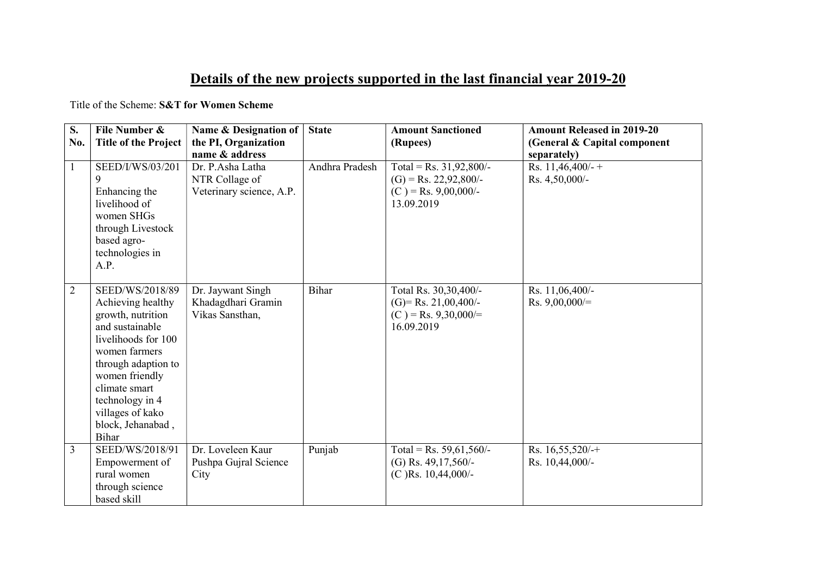## Details of the new projects supported in the last financial year 2019-20

Title of the Scheme: S&T for Women Scheme

| S.<br>No.      | File Number &<br><b>Title of the Project</b>                                                                                                                                                                                                               | Name & Designation of<br>the PI, Organization                                    | <b>State</b>   | <b>Amount Sanctioned</b><br>(Rupees)                                                         | <b>Amount Released in 2019-20</b><br>(General & Capital component |
|----------------|------------------------------------------------------------------------------------------------------------------------------------------------------------------------------------------------------------------------------------------------------------|----------------------------------------------------------------------------------|----------------|----------------------------------------------------------------------------------------------|-------------------------------------------------------------------|
| $\mathbf{1}$   | SEED/I/WS/03/201<br>9<br>Enhancing the<br>livelihood of<br>women SHGs<br>through Livestock<br>based agro-<br>technologies in<br>A.P.                                                                                                                       | name & address<br>Dr. P.Asha Latha<br>NTR Collage of<br>Veterinary science, A.P. | Andhra Pradesh | Total = Rs. $31,92,800/-$<br>$(G)$ = Rs. 22,92,800/-<br>$(C)$ = Rs. 9,00,000/-<br>13.09.2019 | separately)<br>Rs. $11,46,400/-$ +<br>Rs. 4,50,000/-              |
| $\overline{2}$ | SEED/WS/2018/89<br>Achieving healthy<br>growth, nutrition<br>and sustainable<br>livelihoods for 100<br>women farmers<br>through adaption to<br>women friendly<br>climate smart<br>technology in 4<br>villages of kako<br>block, Jehanabad,<br><b>Bihar</b> | Dr. Jaywant Singh<br>Khadagdhari Gramin<br>Vikas Sansthan,                       | Bihar          | Total Rs. 30,30,400/-<br>$(G)$ = Rs. 21,00,400/-<br>$(C)$ = Rs. 9,30,000/=<br>16.09.2019     | Rs. 11,06,400/-<br>Rs. $9,00,000/=$                               |
| 3              | SEED/WS/2018/91<br>Empowerment of<br>rural women<br>through science<br>based skill                                                                                                                                                                         | Dr. Loveleen Kaur<br>Pushpa Gujral Science<br>City                               | Punjab         | Total = Rs. $59,61,560/-$<br>(G) Rs. 49,17,560/-<br>$(C)$ Rs. 10,44,000/-                    | Rs. $16,55,520/+$<br>Rs. 10,44,000/-                              |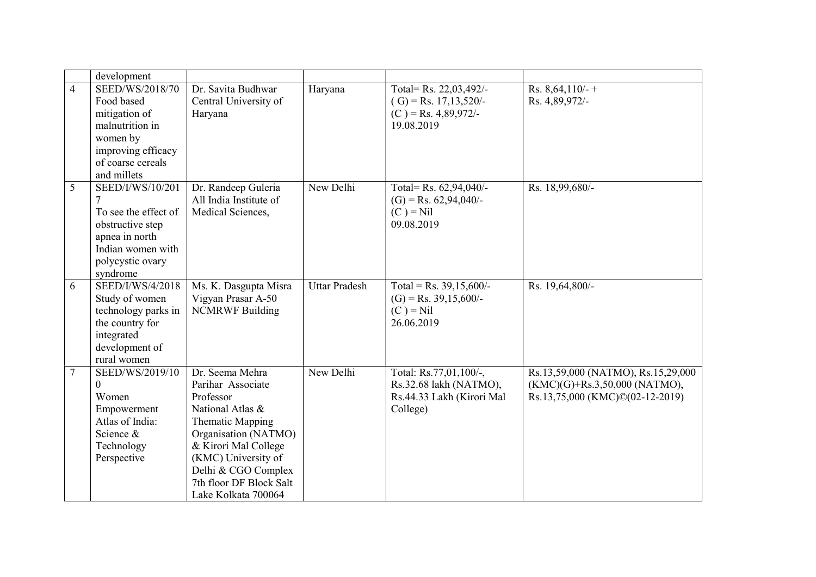|                | development                  |                         |                      |                           |                                    |
|----------------|------------------------------|-------------------------|----------------------|---------------------------|------------------------------------|
| $\overline{4}$ | SEED/WS/2018/70              | Dr. Savita Budhwar      | Haryana              | Total= Rs. 22,03,492/-    | Rs. $8,64,110/$ -+                 |
|                | Food based                   | Central University of   |                      | $(G)$ = Rs. 17,13,520/-   | Rs. 4,89,972/-                     |
|                | mitigation of                | Haryana                 |                      | $(C)$ = Rs. 4,89,972/-    |                                    |
|                | malnutrition in              |                         |                      | 19.08.2019                |                                    |
|                | women by                     |                         |                      |                           |                                    |
|                | improving efficacy           |                         |                      |                           |                                    |
|                | of coarse cereals            |                         |                      |                           |                                    |
|                | and millets                  |                         |                      |                           |                                    |
| 5              | SEED/I/WS/10/201             | Dr. Randeep Guleria     | New Delhi            | Total= Rs. 62,94,040/-    | Rs. 18,99,680/-                    |
|                |                              | All India Institute of  |                      | $(G)$ = Rs. 62,94,040/-   |                                    |
|                | To see the effect of         | Medical Sciences,       |                      | $(C) = Nil$               |                                    |
|                | obstructive step             |                         |                      | 09.08.2019                |                                    |
|                | apnea in north               |                         |                      |                           |                                    |
|                | Indian women with            |                         |                      |                           |                                    |
|                | polycystic ovary             |                         |                      |                           |                                    |
|                | syndrome                     |                         |                      |                           |                                    |
| 6              | SEED/I/WS/4/2018             | Ms. K. Dasgupta Misra   | <b>Uttar Pradesh</b> | Total = Rs. $39,15,600/-$ | Rs. 19,64,800/-                    |
|                | Study of women               | Vigyan Prasar A-50      |                      | $(G)$ = Rs. 39,15,600/-   |                                    |
|                | technology parks in          | <b>NCMRWF Building</b>  |                      | $(C) = Nil$               |                                    |
|                | the country for              |                         |                      | 26.06.2019                |                                    |
|                | integrated<br>development of |                         |                      |                           |                                    |
|                | rural women                  |                         |                      |                           |                                    |
| $\overline{7}$ | SEED/WS/2019/10              | Dr. Seema Mehra         | New Delhi            | Total: Rs.77,01,100/-,    | Rs.13,59,000 (NATMO), Rs.15,29,000 |
|                | $\Omega$                     | Parihar Associate       |                      | Rs.32.68 lakh (NATMO),    | $(KMC)(G)$ +Rs.3,50,000 (NATMO),   |
|                | Women                        | Professor               |                      | Rs.44.33 Lakh (Kirori Mal | Rs.13,75,000 (KMC)©(02-12-2019)    |
|                | Empowerment                  | National Atlas &        |                      | College)                  |                                    |
|                | Atlas of India:              | Thematic Mapping        |                      |                           |                                    |
|                | Science &                    | Organisation (NATMO)    |                      |                           |                                    |
|                | Technology                   | & Kirori Mal College    |                      |                           |                                    |
|                | Perspective                  | (KMC) University of     |                      |                           |                                    |
|                |                              | Delhi & CGO Complex     |                      |                           |                                    |
|                |                              | 7th floor DF Block Salt |                      |                           |                                    |
|                |                              | Lake Kolkata 700064     |                      |                           |                                    |